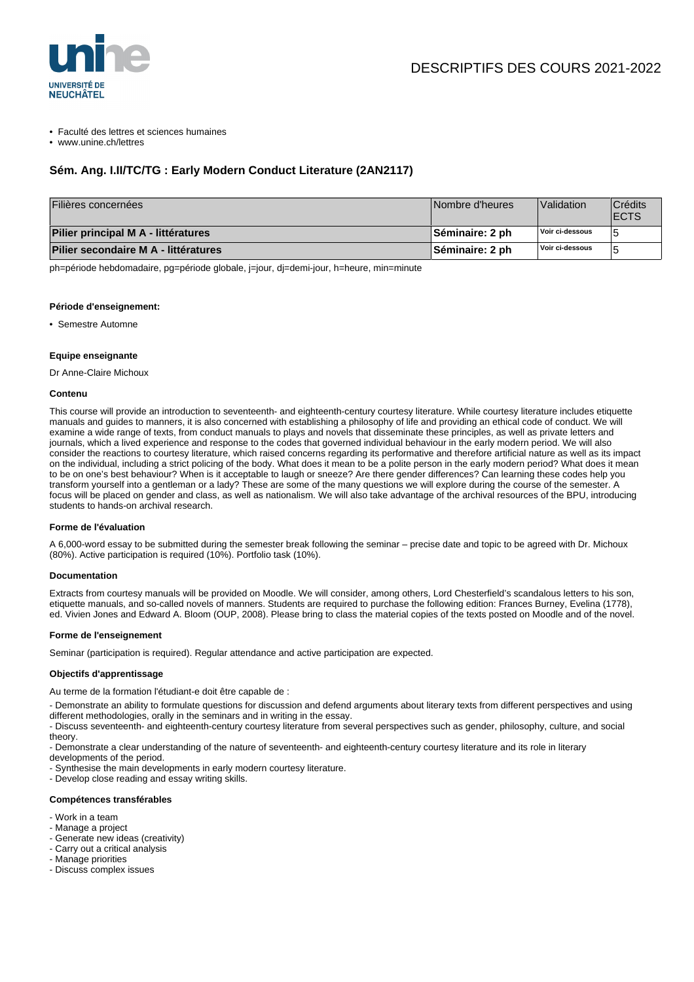

• Faculté des lettres et sciences humaines

• www.unine.ch/lettres

## **Sém. Ang. I.II/TC/TG : Early Modern Conduct Literature (2AN2117)**

| Filières concernées                  | Nombre d'heures        | <i>Nalidation</i> | Crédits<br><b>IECTS</b> |
|--------------------------------------|------------------------|-------------------|-------------------------|
| Pilier principal M A - littératures  | Séminaire: 2 ph        | Voir ci-dessous   |                         |
| Pilier secondaire M A - littératures | <b>Séminaire: 2 ph</b> | Voir ci-dessous   |                         |

ph=période hebdomadaire, pg=période globale, j=jour, dj=demi-jour, h=heure, min=minute

#### **Période d'enseignement:**

• Semestre Automne

#### **Equipe enseignante**

Dr Anne-Claire Michoux

#### **Contenu**

This course will provide an introduction to seventeenth- and eighteenth-century courtesy literature. While courtesy literature includes etiquette manuals and guides to manners, it is also concerned with establishing a philosophy of life and providing an ethical code of conduct. We will examine a wide range of texts, from conduct manuals to plays and novels that disseminate these principles, as well as private letters and journals, which a lived experience and response to the codes that governed individual behaviour in the early modern period. We will also consider the reactions to courtesy literature, which raised concerns regarding its performative and therefore artificial nature as well as its impact on the individual, including a strict policing of the body. What does it mean to be a polite person in the early modern period? What does it mean to be on one's best behaviour? When is it acceptable to laugh or sneeze? Are there gender differences? Can learning these codes help you transform yourself into a gentleman or a lady? These are some of the many questions we will explore during the course of the semester. A focus will be placed on gender and class, as well as nationalism. We will also take advantage of the archival resources of the BPU, introducing students to hands-on archival research.

### **Forme de l'évaluation**

A 6,000-word essay to be submitted during the semester break following the seminar – precise date and topic to be agreed with Dr. Michoux (80%). Active participation is required (10%). Portfolio task (10%).

#### **Documentation**

Extracts from courtesy manuals will be provided on Moodle. We will consider, among others, Lord Chesterfield's scandalous letters to his son, etiquette manuals, and so-called novels of manners. Students are required to purchase the following edition: Frances Burney, Evelina (1778), ed. Vivien Jones and Edward A. Bloom (OUP, 2008). Please bring to class the material copies of the texts posted on Moodle and of the novel.

#### **Forme de l'enseignement**

Seminar (participation is required). Regular attendance and active participation are expected.

## **Objectifs d'apprentissage**

Au terme de la formation l'étudiant-e doit être capable de :

- Demonstrate an ability to formulate questions for discussion and defend arguments about literary texts from different perspectives and using different methodologies, orally in the seminars and in writing in the essay.

- Discuss seventeenth- and eighteenth-century courtesy literature from several perspectives such as gender, philosophy, culture, and social theory.

- Demonstrate a clear understanding of the nature of seventeenth- and eighteenth-century courtesy literature and its role in literary

developments of the period.

- Synthesise the main developments in early modern courtesy literature.

- Develop close reading and essay writing skills.

#### **Compétences transférables**

- Work in a team
- Manage a project
- Generate new ideas (creativity)
- Carry out a critical analysis
- Manage priorities
- Discuss complex issues